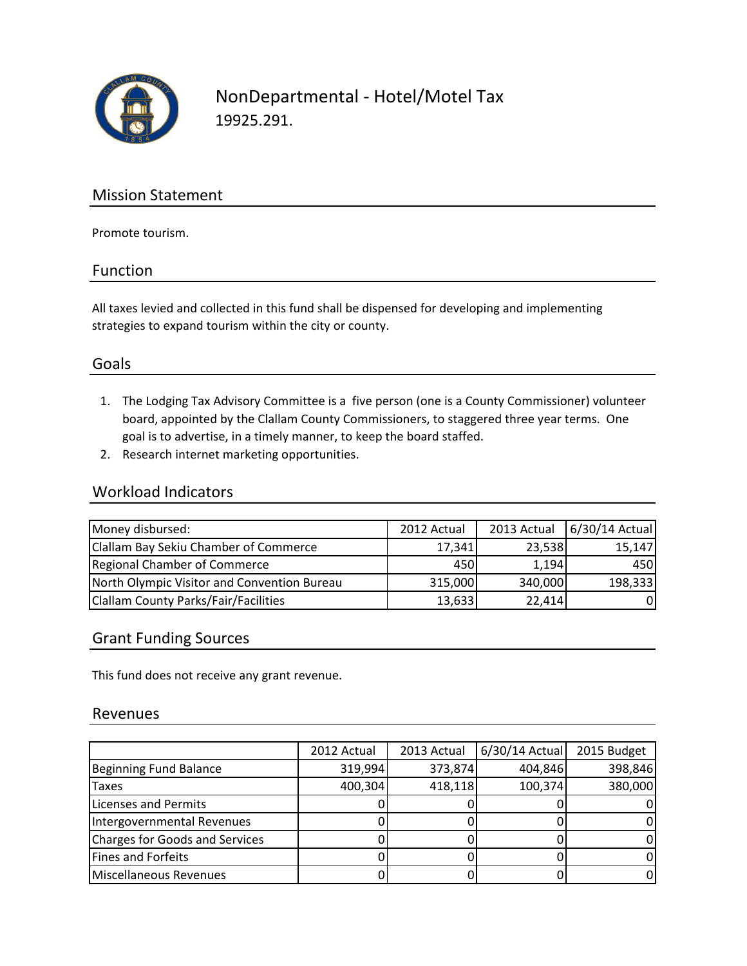

NonDepartmental - Hotel/Motel Tax 19925.291.

## Mission Statement

Promote tourism.

#### Function

All taxes levied and collected in this fund shall be dispensed for developing and implementing strategies to expand tourism within the city or county.

## Goals

- 1. The Lodging Tax Advisory Committee is a five person (one is a County Commissioner) volunteer board, appointed by the Clallam County Commissioners, to staggered three year terms. One goal is to advertise, in a timely manner, to keep the board staffed.
- 2. Research internet marketing opportunities.

#### Workload Indicators

| Money disbursed:                             | 2012 Actual | 2013 Actual | 6/30/14 Actual |
|----------------------------------------------|-------------|-------------|----------------|
| <b>Clallam Bay Sekiu Chamber of Commerce</b> | 17,341      | 23,538      | 15,147         |
| <b>Regional Chamber of Commerce</b>          | 450         | 1,194       | 450            |
| North Olympic Visitor and Convention Bureau  | 315,000     | 340,000     | 198,333        |
| <b>Clallam County Parks/Fair/Facilities</b>  | 13,633      | 22,414      | 01             |

## Grant Funding Sources

This fund does not receive any grant revenue.

#### Revenues

|                                | 2012 Actual | 2013 Actual | $6/30/14$ Actual | 2015 Budget |
|--------------------------------|-------------|-------------|------------------|-------------|
|                                |             |             |                  |             |
| Beginning Fund Balance         | 319,994     | 373,874     | 404,846          | 398,846     |
| <b>Taxes</b>                   | 400,304     | 418,118     | 100,374          | 380,000     |
| Licenses and Permits           |             |             |                  |             |
| Intergovernmental Revenues     |             |             |                  |             |
| Charges for Goods and Services |             |             |                  |             |
| Fines and Forfeits             |             |             |                  |             |
| Miscellaneous Revenues         |             |             |                  |             |